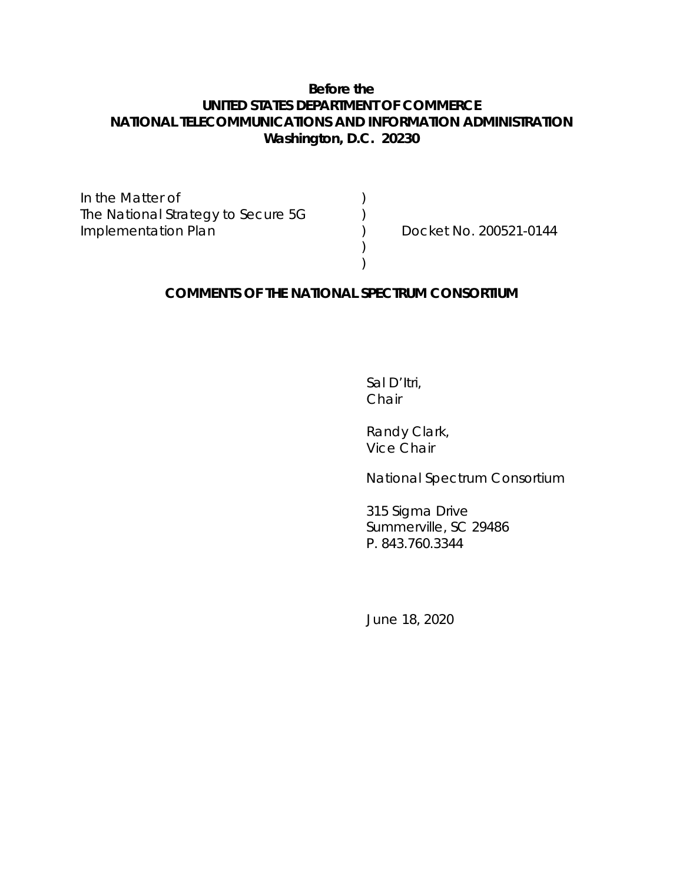#### **Before the UNITED STATES DEPARTMENT OF COMMERCE NATIONAL TELECOMMUNICATIONS AND INFORMATION ADMINISTRATION Washington, D.C. 20230**

In the Matter of  $($   $)$ The National Strategy to Secure 5G  $\qquad \qquad$  ) Implementation Plan ) Docket No. 200521-0144

#### **COMMENTS OF THE NATIONAL SPECTRUM CONSORTIUM**

) )

> Sal D'Itri, Chair

Randy Clark, Vice Chair

National Spectrum Consortium

315 Sigma Drive Summerville, SC 29486 P. 843.760.3344

June 18, 2020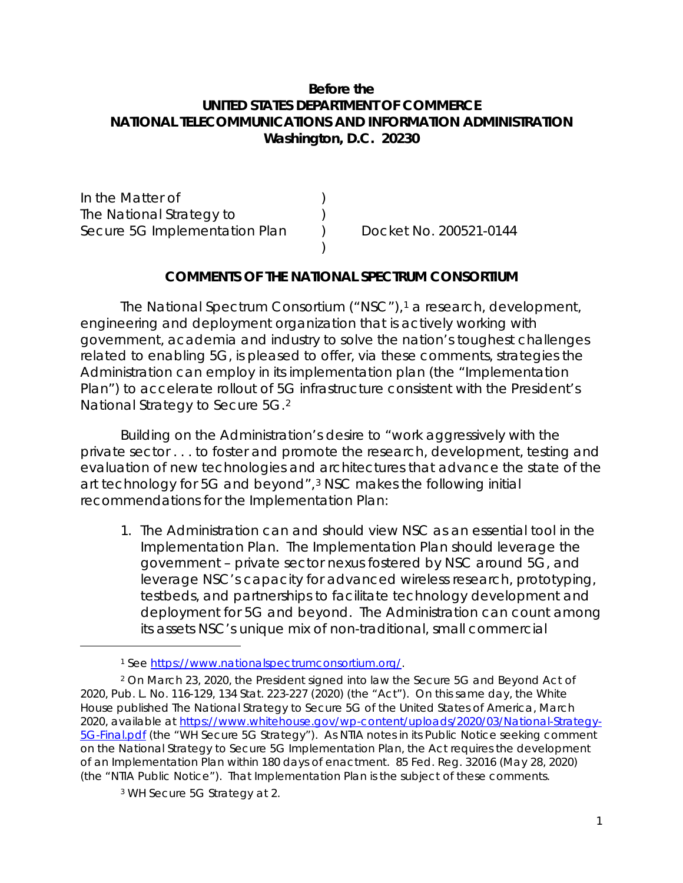### **Before the UNITED STATES DEPARTMENT OF COMMERCE NATIONAL TELECOMMUNICATIONS AND INFORMATION ADMINISTRATION Washington, D.C. 20230**

In the Matter of (1) The National Strategy to (a) Secure 5G Implementation Plan (a) Docket No. 200521-0144

#### **COMMENTS OF THE NATIONAL SPECTRUM CONSORTIUM**

)

The National Spectrum Consortium ("NSC"),<sup>1</sup> a research, development, engineering and deployment organization that is actively working with government, academia and industry to solve the nation's toughest challenges related to enabling 5G, is pleased to offer, via these comments, strategies the Administration can employ in its implementation plan (the "Implementation Plan") to accelerate rollout of 5G infrastructure consistent with the President's National Strategy to Secure 5G.2

Building on the Administration's desire to "work aggressively with the private sector . . . to foster and promote the research, development, testing and evaluation of new technologies and architectures that advance the state of the art technology for 5G and beyond",3 NSC makes the following initial recommendations for the Implementation Plan:

1. The Administration can and should view NSC as an essential tool in the Implementation Plan. The Implementation Plan should leverage the government – private sector nexus fostered by NSC around 5G, and leverage NSC's capacity for advanced wireless research, prototyping, testbeds, and partnerships to facilitate technology development and deployment for 5G and beyond. The Administration can count among its assets NSC's unique mix of non-traditional, small commercial

<sup>1</sup> *See* https://www.nationalspectrumconsortium.org/.

<sup>2</sup> On March 23, 2020, the President signed into law the Secure 5G and Beyond Act of 2020, Pub. L. No. 116-129, 134 Stat. 223-227 (2020) (the "Act"). On this same day, the White House published The National Strategy to Secure 5G of the United States of America, March 2020, available at https://www.whitehouse.gov/wp-content/uploads/2020/03/National-Strategy-5G-Final.pdf (the "WH Secure 5G Strategy"). As NTIA notes in its Public Notice seeking comment on the National Strategy to Secure 5G Implementation Plan, the Act requires the development of an Implementation Plan within 180 days of enactment. 85 Fed. Reg. 32016 (May 28, 2020) (the "NTIA Public Notice"). That Implementation Plan is the subject of these comments.

<sup>3</sup> WH Secure 5G Strategy at 2.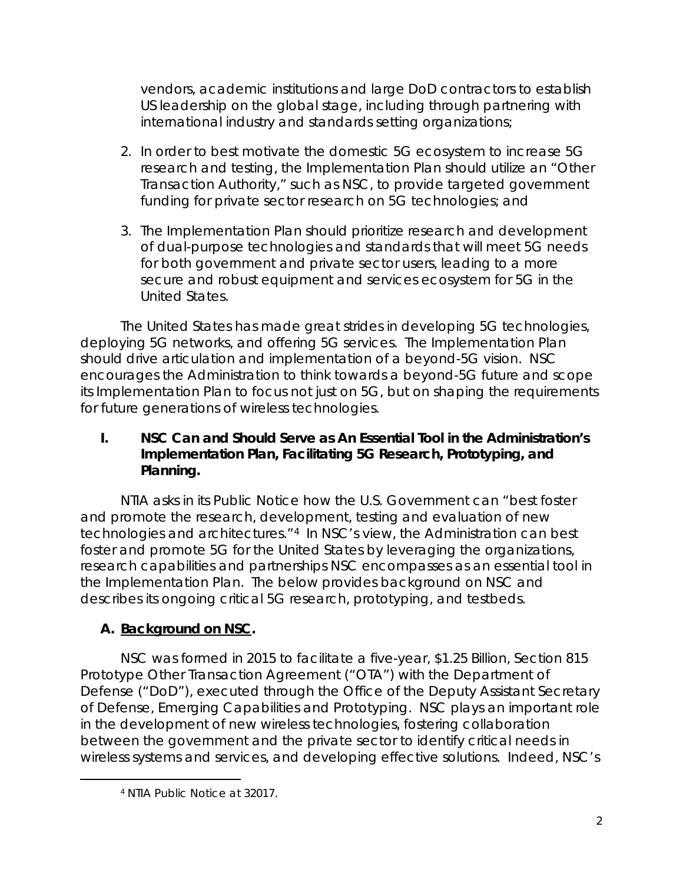vendors, academic institutions and large DoD contractors to establish US leadership on the global stage, including through partnering with international industry and standards setting organizations;

- 2. In order to best motivate the domestic 5G ecosystem to increase 5G research and testing, the Implementation Plan should utilize an "Other Transaction Authority," such as NSC, to provide targeted government funding for private sector research on 5G technologies; and
- 3. The Implementation Plan should prioritize research and development of dual-purpose technologies and standards that will meet 5G needs for both government and private sector users, leading to a more secure and robust equipment and services ecosystem for 5G in the United States.

The United States has made great strides in developing 5G technologies, deploying 5G networks, and offering 5G services. The Implementation Plan should drive articulation and implementation of a beyond-5G vision. NSC encourages the Administration to think towards a beyond-5G future and scope its Implementation Plan to focus not just on 5G, but on shaping the requirements for future generations of wireless technologies.

## **I. NSC Can and Should Serve as An Essential Tool in the Administration's Implementation Plan, Facilitating 5G Research, Prototyping, and Planning.**

NTIA asks in its Public Notice how the U.S. Government can "best foster and promote the research, development, testing and evaluation of new technologies and architectures."4 In NSC's view, the Administration can best foster and promote 5G for the United States by leveraging the organizations, research capabilities and partnerships NSC encompasses as an essential tool in the Implementation Plan. The below provides background on NSC and describes its ongoing critical 5G research, prototyping, and testbeds.

# **A. Background on NSC.**

NSC was formed in 2015 to facilitate a five-year, \$1.25 Billion, Section 815 Prototype Other Transaction Agreement ("OTA") with the Department of Defense ("DoD"), executed through the Office of the Deputy Assistant Secretary of Defense, Emerging Capabilities and Prototyping. NSC plays an important role in the development of new wireless technologies, fostering collaboration between the government and the private sector to identify critical needs in wireless systems and services, and developing effective solutions. Indeed, NSC's

<sup>4</sup> NTIA Public Notice at 32017.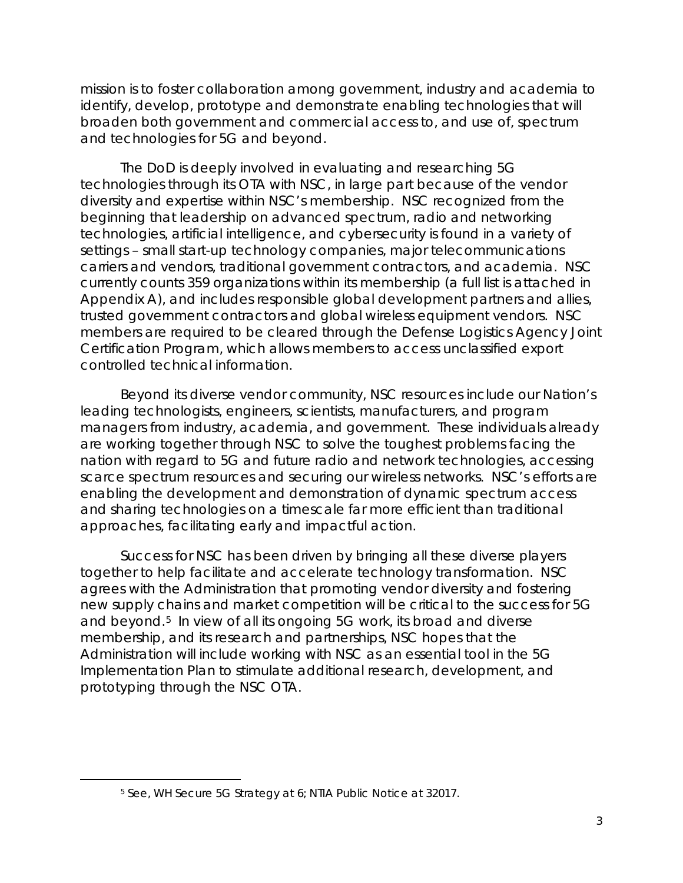mission is to foster collaboration among government, industry and academia to identify, develop, prototype and demonstrate enabling technologies that will broaden both government and commercial access to, and use of, spectrum and technologies for 5G and beyond.

The DoD is deeply involved in evaluating and researching 5G technologies through its OTA with NSC, in large part because of the vendor diversity and expertise within NSC's membership. NSC recognized from the beginning that leadership on advanced spectrum, radio and networking technologies, artificial intelligence, and cybersecurity is found in a variety of settings – small start-up technology companies, major telecommunications carriers and vendors, traditional government contractors, and academia. NSC currently counts 359 organizations within its membership (a full list is attached in Appendix A), and includes responsible global development partners and allies, trusted government contractors and global wireless equipment vendors. NSC members are required to be cleared through the Defense Logistics Agency Joint Certification Program, which allows members to access unclassified export controlled technical information.

Beyond its diverse vendor community, NSC resources include our Nation's leading technologists, engineers, scientists, manufacturers, and program managers from industry, academia, and government. These individuals already are working together through NSC to solve the toughest problems facing the nation with regard to 5G and future radio and network technologies, accessing scarce spectrum resources and securing our wireless networks. NSC's efforts are enabling the development and demonstration of dynamic spectrum access and sharing technologies on a timescale far more efficient than traditional approaches, facilitating early and impactful action.

Success for NSC has been driven by bringing all these diverse players together to help facilitate and accelerate technology transformation. NSC agrees with the Administration that promoting vendor diversity and fostering new supply chains and market competition will be critical to the success for 5G and beyond.5 In view of all its ongoing 5G work, its broad and diverse membership, and its research and partnerships, NSC hopes that the Administration will include working with NSC as an essential tool in the 5G Implementation Plan to stimulate additional research, development, and prototyping through the NSC OTA.

<sup>5</sup> *See*, WH Secure 5G Strategy at 6; NTIA Public Notice at 32017.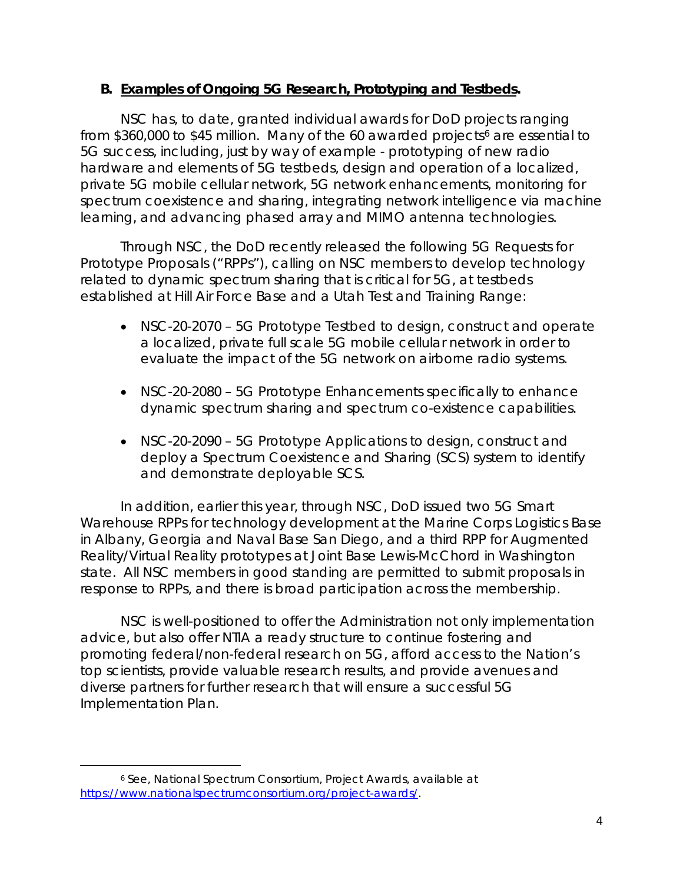### **B. Examples of Ongoing 5G Research, Prototyping and Testbeds.**

NSC has, to date, granted individual awards for DoD projects ranging from \$360,000 to \$45 million. Many of the 60 awarded projects<sup>6</sup> are essential to 5G success, including, just by way of example - prototyping of new radio hardware and elements of 5G testbeds, design and operation of a localized, private 5G mobile cellular network, 5G network enhancements, monitoring for spectrum coexistence and sharing, integrating network intelligence via machine learning, and advancing phased array and MIMO antenna technologies.

Through NSC, the DoD recently released the following 5G Requests for Prototype Proposals ("RPPs"), calling on NSC members to develop technology related to dynamic spectrum sharing that is critical for 5G, at testbeds established at Hill Air Force Base and a Utah Test and Training Range:

- NSC-20-2070 5G Prototype Testbed to design, construct and operate a localized, private full scale 5G mobile cellular network in order to evaluate the impact of the 5G network on airborne radio systems.
- NSC-20-2080 5G Prototype Enhancements specifically to enhance dynamic spectrum sharing and spectrum co-existence capabilities.
- NSC-20-2090 5G Prototype Applications to design, construct and deploy a Spectrum Coexistence and Sharing (SCS) system to identify and demonstrate deployable SCS.

In addition, earlier this year, through NSC, DoD issued two 5G Smart Warehouse RPPs for technology development at the Marine Corps Logistics Base in Albany, Georgia and Naval Base San Diego, and a third RPP for Augmented Reality/Virtual Reality prototypes at Joint Base Lewis-McChord in Washington state. All NSC members in good standing are permitted to submit proposals in response to RPPs, and there is broad participation across the membership.

NSC is well-positioned to offer the Administration not only implementation advice, but also offer NTIA a ready structure to continue fostering and promoting federal/non-federal research on 5G, afford access to the Nation's top scientists, provide valuable research results, and provide avenues and diverse partners for further research that will ensure a successful 5G Implementation Plan.

<sup>6</sup> *See, National Spectrum Consortium, Project Awards, available at https://www.nationalspectrumconsortium.org/project-awards/.*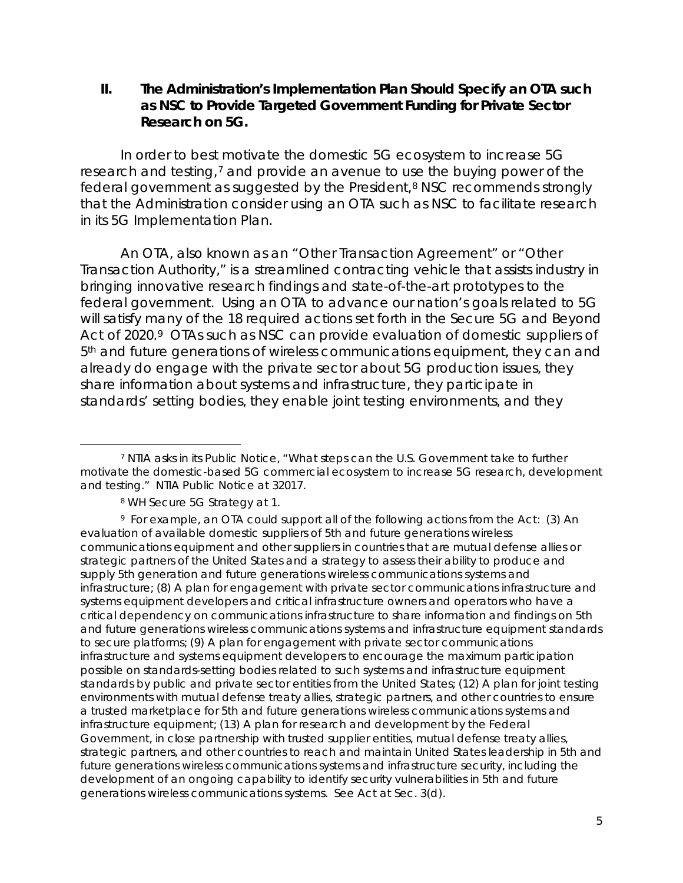**II. The Administration's Implementation Plan Should Specify an OTA such as NSC to Provide Targeted Government Funding for Private Sector Research on 5G.** 

In order to best motivate the domestic 5G ecosystem to increase 5G research and testing,7 and provide an avenue to use the buying power of the federal government as suggested by the President,<sup>8</sup> NSC recommends strongly that the Administration consider using an OTA such as NSC to facilitate research in its 5G Implementation Plan.

An OTA, also known as an "Other Transaction Agreement" or "Other Transaction Authority," is a streamlined contracting vehicle that assists industry in bringing innovative research findings and state-of-the-art prototypes to the federal government. Using an OTA to advance our nation's goals related to 5G will satisfy many of the 18 required actions set forth in the *Secure 5G and Beyond Act of 2020*.9 OTAs such as NSC can provide evaluation of domestic suppliers of 5th and future generations of wireless communications equipment, they can and already do engage with the private sector about 5G production issues, they share information about systems and infrastructure, they participate in standards' setting bodies, they enable joint testing environments, and they

 $\overline{a}$ <sup>7</sup> NTIA asks in its Public Notice, "What steps can the U.S. Government take to further motivate the domestic-based 5G commercial ecosystem to increase 5G research, development and testing." NTIA Public Notice at 32017.

<sup>8</sup> WH Secure 5G Strategy at 1.

<sup>9</sup> For example, an OTA could support all of the following actions from the Act: (3) An evaluation of available domestic suppliers of 5th and future generations wireless communications equipment and other suppliers in countries that are mutual defense allies or strategic partners of the United States and a strategy to assess their ability to produce and supply 5th generation and future generations wireless communications systems and infrastructure; (8) A plan for engagement with private sector communications infrastructure and systems equipment developers and critical infrastructure owners and operators who have a critical dependency on communications infrastructure to share information and findings on 5th and future generations wireless communications systems and infrastructure equipment standards to secure platforms; (9) A plan for engagement with private sector communications infrastructure and systems equipment developers to encourage the maximum participation possible on standards-setting bodies related to such systems and infrastructure equipment standards by public and private sector entities from the United States; (12) A plan for joint testing environments with mutual defense treaty allies, strategic partners, and other countries to ensure a trusted marketplace for 5th and future generations wireless communications systems and infrastructure equipment; (13) A plan for research and development by the Federal Government, in close partnership with trusted supplier entities, mutual defense treaty allies, strategic partners, and other countries to reach and maintain United States leadership in 5th and future generations wireless communications systems and infrastructure security, including the development of an ongoing capability to identify security vulnerabilities in 5th and future generations wireless communications systems. *See* Act at Sec. 3(d).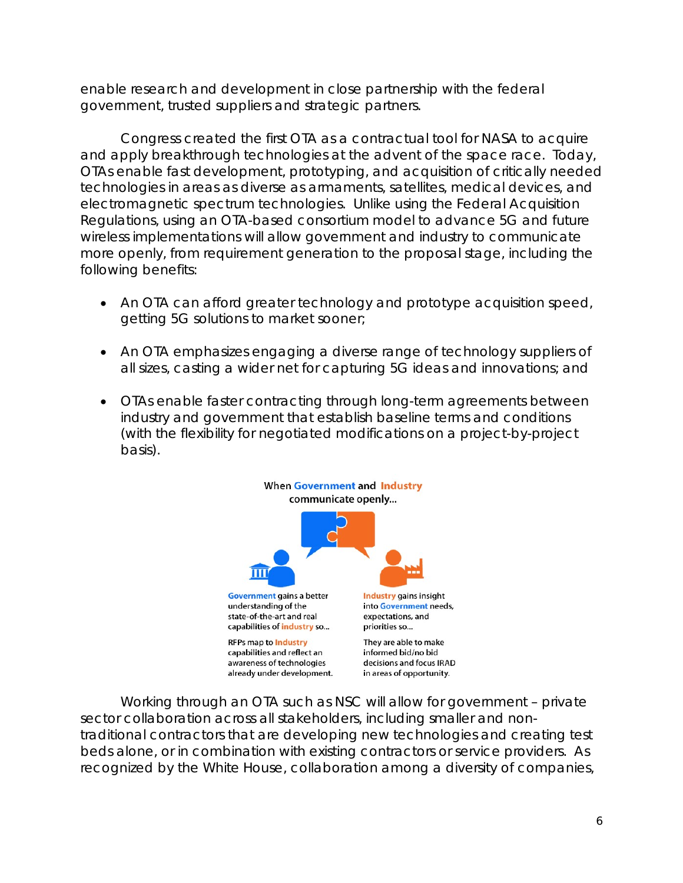enable research and development in close partnership with the federal government, trusted suppliers and strategic partners.

Congress created the first OTA as a contractual tool for NASA to acquire and apply breakthrough technologies at the advent of the space race. Today, OTAs enable fast development, prototyping, and acquisition of critically needed technologies in areas as diverse as armaments, satellites, medical devices, and electromagnetic spectrum technologies. Unlike using the Federal Acquisition Regulations, using an OTA-based consortium model to advance 5G and future wireless implementations will allow government and industry to communicate more openly, from requirement generation to the proposal stage, including the following benefits:

- An OTA can afford greater technology and prototype acquisition speed, getting 5G solutions to market sooner;
- An OTA emphasizes engaging a diverse range of technology suppliers of all sizes, casting a wider net for capturing 5G ideas and innovations; and
- OTAs enable faster contracting through long-term agreements between industry and government that establish baseline terms and conditions (with the flexibility for negotiated modifications on a project-by-project basis).



Working through an OTA such as NSC will allow for government – private sector collaboration across all stakeholders, including smaller and nontraditional contractors that are developing new technologies and creating test beds alone, or in combination with existing contractors or service providers. As recognized by the White House, collaboration among a diversity of companies,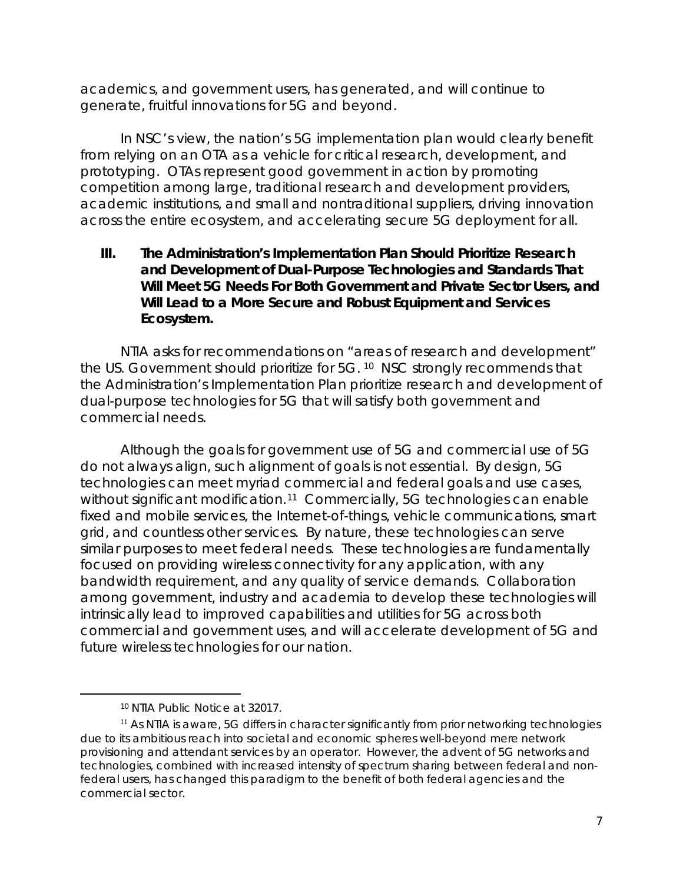academics, and government users, has generated, and will continue to generate, fruitful innovations for 5G and beyond.

In NSC's view, the nation's 5G implementation plan would clearly benefit from relying on an OTA as a vehicle for critical research, development, and prototyping. OTAs represent good government in action by promoting competition among large, traditional research and development providers, academic institutions, and small and nontraditional suppliers, driving innovation across the entire ecosystem, and accelerating secure 5G deployment for all.

### **III. The Administration's Implementation Plan Should Prioritize Research and Development of Dual-Purpose Technologies and Standards That Will Meet 5G Needs For Both Government and Private Sector Users, and Will Lead to a More Secure and Robust Equipment and Services Ecosystem.**

NTIA asks for recommendations on "areas of research and development" the US. Government should prioritize for 5G. 10 NSC strongly recommends that the Administration's Implementation Plan prioritize research and development of dual-purpose technologies for 5G that will satisfy both government and commercial needs.

Although the goals for government use of 5G and commercial use of 5G do not always align, such alignment of goals is not essential. By design, 5G technologies can meet myriad commercial and federal goals and use cases, without significant modification.<sup>11</sup> Commercially, 5G technologies can enable fixed and mobile services, the Internet-of-things, vehicle communications, smart grid, and countless other services. By nature, these technologies can serve similar purposes to meet federal needs. These technologies are fundamentally focused on providing wireless connectivity for any application, with any bandwidth requirement, and any quality of service demands. Collaboration among government, industry and academia to develop these technologies will intrinsically lead to improved capabilities and utilities for 5G across both commercial and government uses, and will accelerate development of 5G and future wireless technologies for our nation.

<sup>10</sup> NTIA Public Notice at 32017.

<sup>&</sup>lt;sup>11</sup> As NTIA is aware, 5G differs in character significantly from prior networking technologies due to its ambitious reach into societal and economic spheres well-beyond mere network provisioning and attendant services by an operator. However, the advent of 5G networks and technologies, combined with increased intensity of spectrum sharing between federal and nonfederal users, has changed this paradigm to the benefit of both federal agencies and the commercial sector.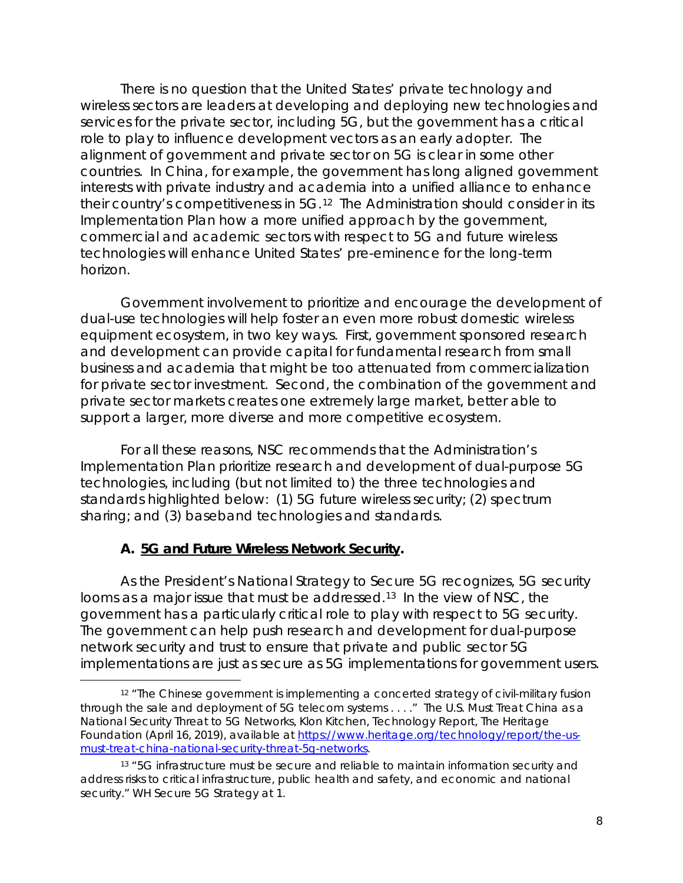There is no question that the United States' private technology and wireless sectors are leaders at developing and deploying new technologies and services for the private sector, including 5G, but the government has a critical role to play to influence development vectors as an early adopter. The alignment of government and private sector on 5G is clear in some other countries. In China, for example, the government has long aligned government interests with private industry and academia into a unified alliance to enhance their country's competitiveness in 5G.12 The Administration should consider in its Implementation Plan how a more unified approach by the government, commercial and academic sectors with respect to 5G and future wireless technologies will enhance United States' pre-eminence for the long-term horizon.

Government involvement to prioritize and encourage the development of dual-use technologies will help foster an even more robust domestic wireless equipment ecosystem, in two key ways. First, government sponsored research and development can provide capital for fundamental research from small business and academia that might be too attenuated from commercialization for private sector investment. Second, the combination of the government and private sector markets creates one extremely large market, better able to support a larger, more diverse and more competitive ecosystem.

For all these reasons, NSC recommends that the Administration's Implementation Plan prioritize research and development of dual-purpose 5G technologies, including (but not limited to) the three technologies and standards highlighted below: (1) 5G future wireless security; (2) spectrum sharing; and (3) baseband technologies and standards.

## **A. 5G and Future Wireless Network Security.**

 $\overline{a}$ 

As the President's *National Strategy to Secure 5G* recognizes, 5G security looms as a major issue that must be addressed.<sup>13</sup> In the view of NSC, the government has a particularly critical role to play with respect to 5G security. The government can help push research and development for dual-purpose network security and trust to ensure that private and public sector 5G implementations are just as secure as 5G implementations for government users.

<sup>&</sup>lt;sup>12</sup> "The Chinese government is implementing a concerted strategy of civil-military fusion through the sale and deployment of 5G telecom systems . . . ." *The U.S. Must Treat China as a National Security Threat to 5G Networks*, Klon Kitchen, Technology Report, The Heritage Foundation (April 16, 2019), available at https://www.heritage.org/technology/report/the-usmust-treat-china-national-security-threat-5g-networks.

<sup>&</sup>lt;sup>13</sup> "5G infrastructure must be secure and reliable to maintain information security and address risks to critical infrastructure, public health and safety, and economic and national security." WH Secure 5G Strategy at 1.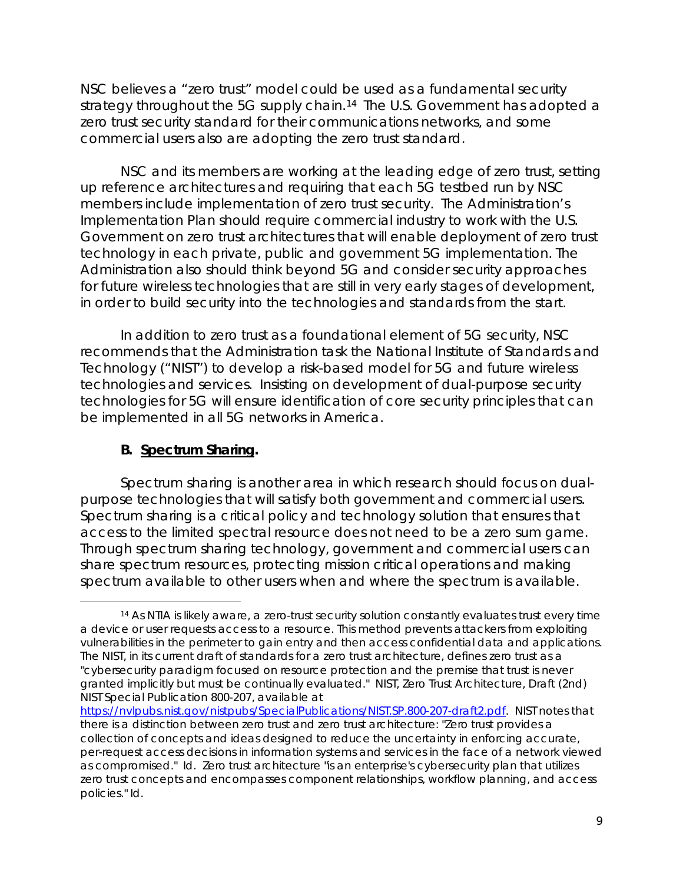NSC believes a "zero trust" model could be used as a fundamental security strategy throughout the 5G supply chain.<sup>14</sup> The U.S. Government has adopted a zero trust security standard for their communications networks, and some commercial users also are adopting the zero trust standard.

NSC and its members are working at the leading edge of zero trust, setting up reference architectures and requiring that each 5G testbed run by NSC members include implementation of zero trust security. The Administration's Implementation Plan should require commercial industry to work with the U.S. Government on zero trust architectures that will enable deployment of zero trust technology in each private, public and government 5G implementation. The Administration also should think beyond 5G and consider security approaches for future wireless technologies that are still in very early stages of development, in order to build security into the technologies and standards from the start.

In addition to zero trust as a foundational element of 5G security, NSC recommends that the Administration task the National Institute of Standards and Technology ("NIST") to develop a risk-based model for 5G and future wireless technologies and services. Insisting on development of dual-purpose security technologies for 5G will ensure identification of core security principles that can be implemented in all 5G networks in America.

## **B. Spectrum Sharing.**

 $\overline{a}$ 

Spectrum sharing is another area in which research should focus on dualpurpose technologies that will satisfy both government and commercial users. Spectrum sharing is a critical policy and technology solution that ensures that access to the limited spectral resource does not need to be a zero sum game. Through spectrum sharing technology, government and commercial users can share spectrum resources, protecting mission critical operations and making spectrum available to other users when and where the spectrum is available.

<sup>14</sup> As NTIA is likely aware, a zero-trust security solution constantly evaluates trust every time a device or user requests access to a resource. This method prevents attackers from exploiting vulnerabilities in the perimeter to gain entry and then access confidential data and applications. The NIST, in its current draft of standards for a zero trust architecture, defines zero trust as a "cybersecurity paradigm focused on resource protection and the premise that trust is never granted implicitly but must be continually evaluated." NIST, Zero Trust Architecture, Draft (2nd) NIST Special Publication 800-207, available at

https://nvlpubs.nist.gov/nistpubs/SpecialPublications/NIST.SP.800-207-draft2.pdf. NIST notes that there is a distinction between zero trust and zero trust architecture: "Zero trust provides a collection of concepts and ideas designed to reduce the uncertainty in enforcing accurate, per-request access decisions in information systems and services in the face of a network viewed as compromised." *Id.* Zero trust architecture "is an enterprise's cybersecurity plan that utilizes zero trust concepts and encompasses component relationships, workflow planning, and access policies." *Id.*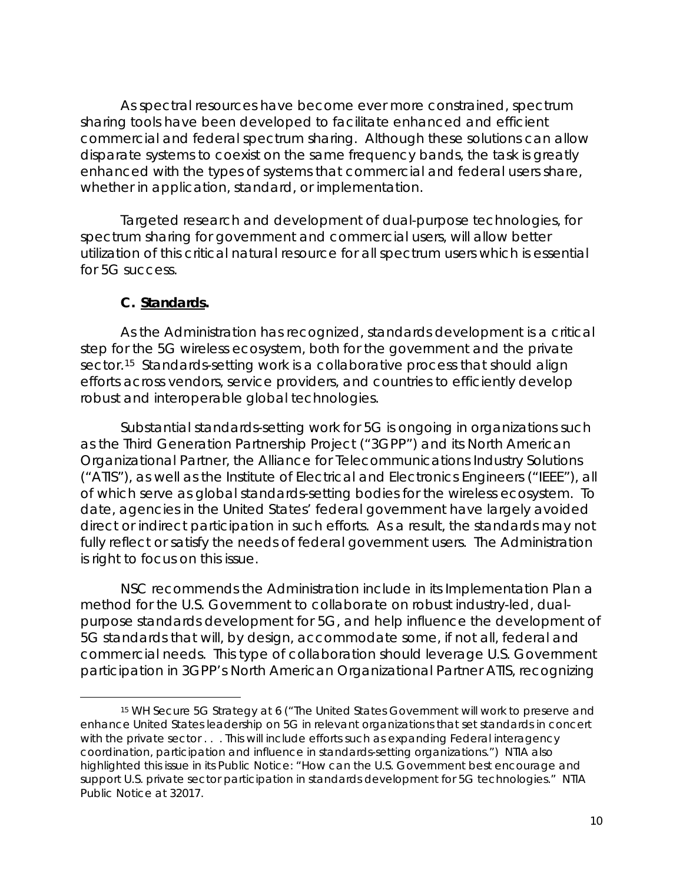As spectral resources have become ever more constrained, spectrum sharing tools have been developed to facilitate enhanced and efficient commercial and federal spectrum sharing. Although these solutions can allow disparate systems to coexist on the same frequency bands, the task is greatly enhanced with the types of systems that commercial and federal users share, whether in application, standard, or implementation.

Targeted research and development of dual-purpose technologies, for spectrum sharing for government and commercial users, will allow better utilization of this critical natural resource for all spectrum users which is essential for 5G success.

### **C. Standards.**

 $\overline{a}$ 

As the Administration has recognized, standards development is a critical step for the 5G wireless ecosystem, both for the government and the private sector.<sup>15</sup> Standards-setting work is a collaborative process that should align efforts across vendors, service providers, and countries to efficiently develop robust and interoperable global technologies.

Substantial standards-setting work for 5G is ongoing in organizations such as the Third Generation Partnership Project ("3GPP") and its North American Organizational Partner, the Alliance for Telecommunications Industry Solutions ("ATIS"), as well as the Institute of Electrical and Electronics Engineers ("IEEE"), all of which serve as global standards-setting bodies for the wireless ecosystem. To date, agencies in the United States' federal government have largely avoided direct or indirect participation in such efforts. As a result, the standards may not fully reflect or satisfy the needs of federal government users. The Administration is right to focus on this issue.

NSC recommends the Administration include in its Implementation Plan a method for the U.S. Government to collaborate on robust industry-led, dualpurpose standards development for 5G, and help influence the development of 5G standards that will, by design, accommodate some, if not all, federal and commercial needs. This type of collaboration should leverage U.S. Government participation in 3GPP's North American Organizational Partner ATIS, recognizing

<sup>15</sup> WH Secure 5G Strategy at 6 ("The United States Government will work to preserve and enhance United States leadership on 5G in relevant organizations that set standards in concert with the private sector . . . This will include efforts such as expanding Federal interagency coordination, participation and influence in standards-setting organizations.") NTIA also highlighted this issue in its Public Notice: "How can the U.S. Government best encourage and support U.S. private sector participation in standards development for 5G technologies." NTIA Public Notice at 32017.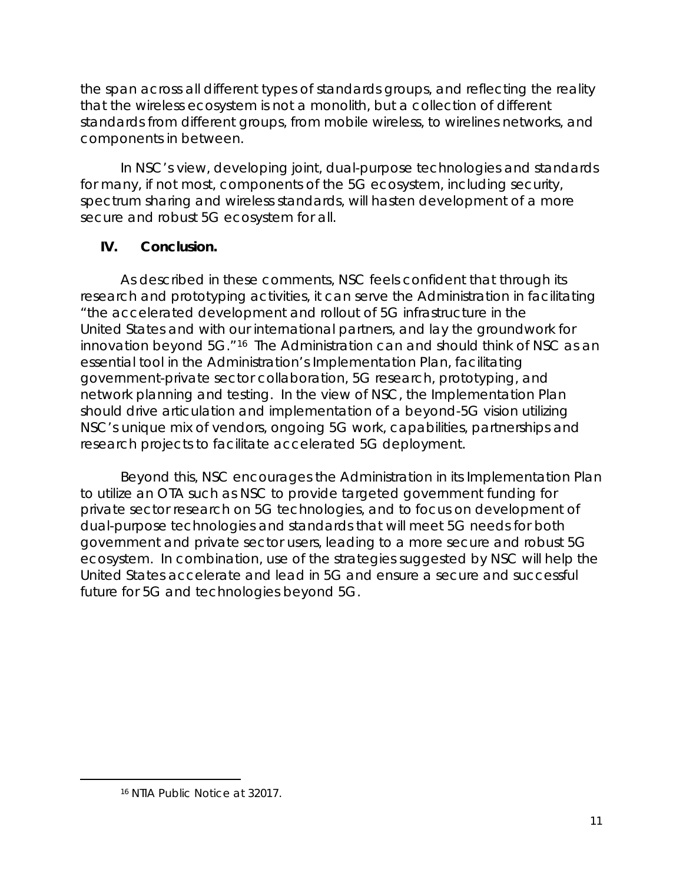the span across all different types of standards groups, and reflecting the reality that the wireless ecosystem is not a monolith, but a collection of different standards from different groups, from mobile wireless, to wirelines networks, and components in between.

In NSC's view, developing joint, dual-purpose technologies and standards for many, if not most, components of the 5G ecosystem, including security, spectrum sharing and wireless standards, will hasten development of a more secure and robust 5G ecosystem for all.

# **IV. Conclusion.**

As described in these comments, NSC feels confident that through its research and prototyping activities, it can serve the Administration in facilitating "the accelerated development and rollout of 5G infrastructure in the United States and with our international partners, and lay the groundwork for innovation beyond 5G."16 The Administration can and should think of NSC as an essential tool in the Administration's Implementation Plan, facilitating government-private sector collaboration, 5G research, prototyping, and network planning and testing. In the view of NSC, the Implementation Plan should drive articulation and implementation of a beyond-5G vision utilizing NSC's unique mix of vendors, ongoing 5G work, capabilities, partnerships and research projects to facilitate accelerated 5G deployment.

Beyond this, NSC encourages the Administration in its Implementation Plan to utilize an OTA such as NSC to provide targeted government funding for private sector research on 5G technologies, and to focus on development of dual-purpose technologies and standards that will meet 5G needs for both government and private sector users, leading to a more secure and robust 5G ecosystem. In combination, use of the strategies suggested by NSC will help the United States accelerate and lead in 5G and ensure a secure and successful future for 5G and technologies beyond 5G.

<sup>16</sup> NTIA Public Notice at 32017.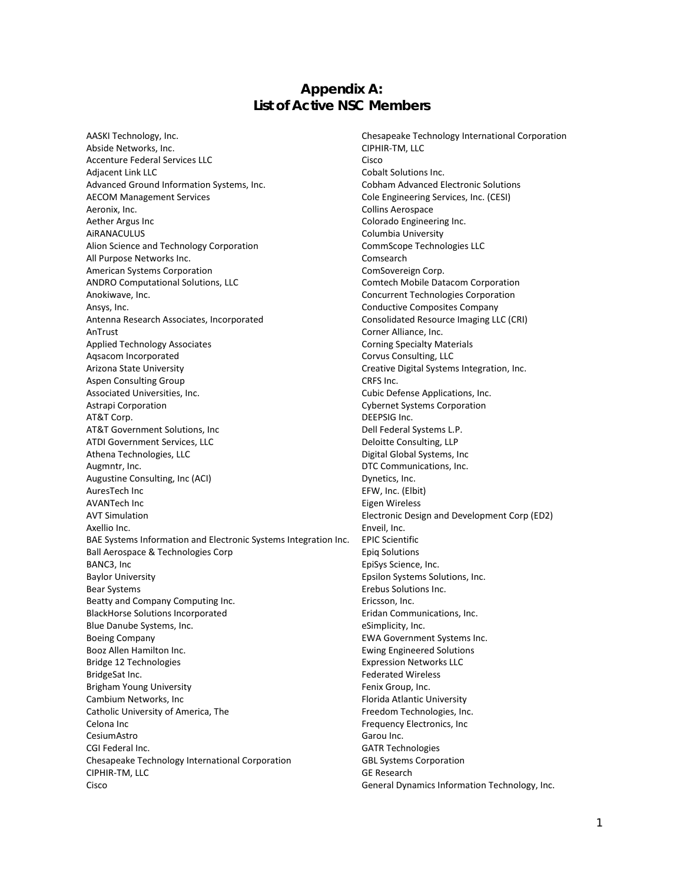#### **Appendix A: List of Active NSC Members**

AASKI Technology, Inc. Chesapeake Technology International Corporation Abside Networks, Inc. The CIPHIR-TM, LLC Accenture Federal Services LLC Cisco Adjacent Link LLC **Cobalt Solutions Inc.** Advanced Ground Information Systems, Inc. Cobham Advanced Electronic Solutions AECOM Management Services Cole Engineering Services, Inc. (CESI) Aeronix, Inc. **Collins Aerospace** Aether Argus Inc **Colorado Engineering Inc.** AiRANACULUS Columbia University Alion Science and Technology Corporation CommScope Technologies LLC All Purpose Networks Inc. **Comsearch Comsearch** American Systems Corporation ComSovereign Corp. ANDRO Computational Solutions, LLC **Computational Solutions, LLC** Comtech Mobile Datacom Corporation Anokiwave, Inc. Concurrent Technologies Corporation Ansys, Inc. Conductive Composites Company Antenna Research Associates, Incorporated Consolidated Resource Imaging LLC (CRI) AnTrust Corner Alliance, Inc. Applied Technology Associates **Corning Specialty Materials** Corning Specialty Materials Aqsacom Incorporated **Corvus Consulting, LLC** Arizona State University Creative Digital Systems Integration, Inc. Aspen Consulting Group CRFS Inc. Associated Universities, Inc. Cubic Defense Applications, Inc. Astrapi Corporation Cybernet Systems Corporation AT&T Corp. **DEEPSIG Inc.** AT&T Government Solutions, Inc **Dell Federal Systems L.P.** Dell Federal Systems L.P. ATDI Government Services, LLC and the Consulting, LLP beloitte Consulting, LLP Athena Technologies, LLC and a state of the Digital Global Systems, Inc Augmntr, Inc. **DTC Communications**, Inc. Augustine Consulting, Inc (ACI) and the consulting of the Dynetics, Inc. AuresTech Inc **EFW, Inc.** (Elbit) AVANTech Inc<br>
Eigen Wireless AVT Simulation Electronic Design and Development Corp (ED2) Axellio Inc. **Enverted** Contracts and Contracts and Contracts and Contracts and Contracts and Contracts and Contracts and Contracts and Contracts and Contracts and Contracts and Contracts and Contracts and Contracts and Co BAE Systems Information and Electronic Systems Integration Inc. EPIC Scientific Ball Aerospace & Technologies Corp **Example 20** Epiq Solutions BANC3, Inc **Example 2018** BANC3, Inc. Baylor University **Epsilon Systems Solutions, Inc.** Epsilon Systems Solutions, Inc. Bear Systems **Example 20** and the Bear Systems Inc. Beatty and Company Computing Inc. The extended of the Ericsson, Inc. BlackHorse Solutions Incorporated **Example 2018** Eridan Communications, Inc. Blue Danube Systems, Inc. eSimplicity, Inc. Boeing Company EWA Government Systems Inc. Booz Allen Hamilton Inc. The Contract of the Ewing Engineered Solutions of the Ewing Engineered Solutions Bridge 12 Technologies Expression Networks LLC BridgeSat Inc. **Federated Wireless** Brigham Young University **Fenix Group, Inc. Fenix Group**, Inc. Cambium Networks, Inc **Florida Atlantic University** Catholic University of America, The Freedom Technologies, Inc. Celona Inc **Frequency Electronics**, Inc. **Frequency Electronics**, Inc. CesiumAstro Garou Inc. CGI Federal Inc. **GATR Technologies** Chesapeake Technology International Corporation GBL Systems Corporation CIPHIR-TM, LLC GE Research Cisco General Dynamics Information Technology, Inc.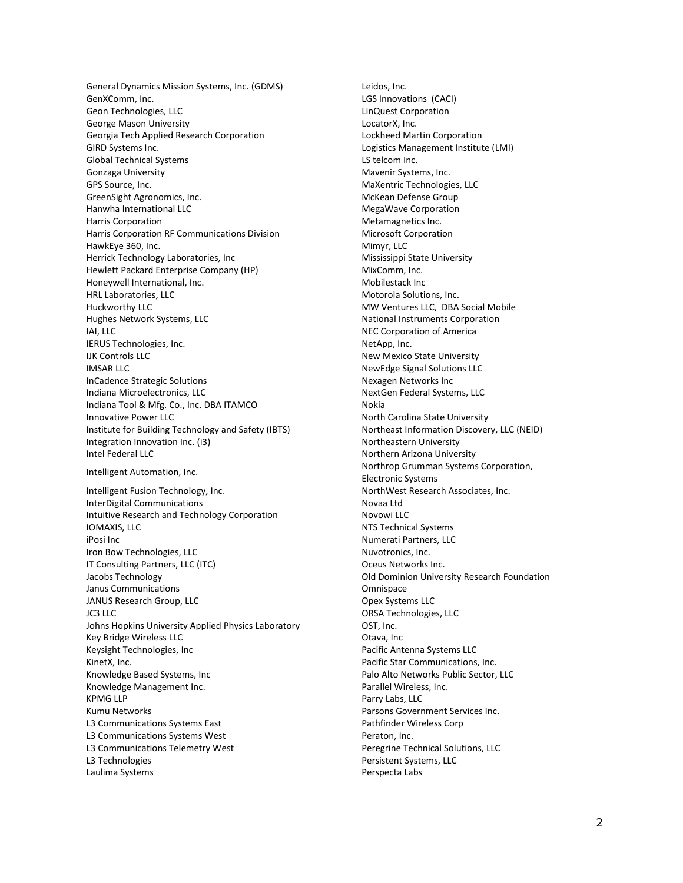General Dynamics Mission Systems, Inc. (GDMS) Leidos, Inc. GenXComm, Inc. **CACIS GEN LGS** Innovations (CACI) Geon Technologies, LLC and Communication control communication control communication control control control control control control control control control control control control control control control control control c George Mason University **Lack and Accept Accept Accept Accept Accept Accept Accept Accept Accept Accept Accept** Georgia Tech Applied Research Corporation Lockheed Martin Corporation GIRD Systems Inc. Logistics Management Institute (LMI) Global Technical Systems **LS** telcom Inc. Gonzaga University **Mathemore Systems**, Inc. **Mathematic Systems**, Inc. GPS Source, Inc. Maxentric Technologies, LLC GreenSight Agronomics, Inc. **McKean Defense Group** McKean Defense Group Hanwha International LLC MegaWave Corporation Harris Corporation **Metamagnetics** Inc. Harris Corporation RF Communications Division Microsoft Corporation HawkEye 360, Inc. **Mimyr, LLC** Herrick Technology Laboratories, Inc **Mississippi State University** Hewlett Packard Enterprise Company (HP) MixComm, Inc. Honeywell International, Inc. The Contraction of the Mobilestack Inc. HRL Laboratories, LLC and the controller of the Motorola Solutions, Inc. Huckworthy LLC MW Ventures LLC, DBA Social Mobile Hughes Network Systems, LLC National Instruments Corporation IAI, LLC **IAI, LLC IAI, LLC IAI, LLC IAI, LLC IAI, LLC IAI, LLC IAI, LLC IAI, LLC** IERUS Technologies, Inc. NetApp, Inc. IJK Controls LLC New Mexico State University IMSAR LLC NewEdge Signal Solutions LLC InCadence Strategic Solutions Nexagen Networks Inc Indiana Microelectronics, LLC NextGen Federal Systems, LLC Indiana Tool & Mfg. Co., Inc. DBA ITAMCO Nokia Innovative Power LLC **North Carolina State University** Institute for Building Technology and Safety (IBTS) Northeast Information Discovery, LLC (NEID) Integration Innovation Inc. (i3) Northeastern University Intel Federal LLC **Northern Arizona University** Intelligent Automation, Inc. Northrop Grumman Systems Corporation, Intelligent Automation, Inc. Intelligent Fusion Technology, Inc. NorthWest Research Associates, Inc. InterDigital Communications Novaa Ltd Intuitive Research and Technology Corporation Novowi LLC IOMAXIS, LLC **NTS Technical Systems** iPosi Inc Numerati Partners, LLC Iron Bow Technologies, LLC and the Communication of Nuvotronics, Inc. IT Consulting Partners, LLC (ITC) Some Consulting Partners, LLC (ITC) And All Consulting Partners, LLC (ITC) Jacobs Technology Old Dominion University Research Foundation Janus Communications **Communications** Communications **Communications** Communications JANUS Research Group, LLC **Community** Contract Community Contract Opex Systems LLC JC3 LLC ORSA Technologies, LLC Johns Hopkins University Applied Physics Laboratory **COST, Inc.** Key Bridge Wireless LLC **Communist Contract Contract Contract Contract Contract Contract Contract Contract Contract Contract Contract Contract Contract Contract Contract Contract Contract Contract Contract Contract Contrac** Keysight Technologies, Inc **Pacific Antenna Systems LLC** Pacific Antenna Systems LLC KinetX, Inc. **Pacific Star Communications, Inc.** Pacific Star Communications, Inc. Knowledge Based Systems, Inc **Palo Alto Networks Public Sector, LLC** Knowledge Management Inc. The Contract of Parallel Wireless, Inc. KPMG LLP **Parry Labs, LLC** Kumu Networks Parsons Government Services Inc. L3 Communications Systems East **Pathfinder Wireless Corp** Pathfinder Wireless Corp L3 Communications Systems West **Peraton**, Inc. L3 Communications Telemetry West **Peregrine Technical Solutions, LLC** L3 Technologies **Persistent Systems, LLC** Laulima Systems **Perspecta** Labs

Electronic Systems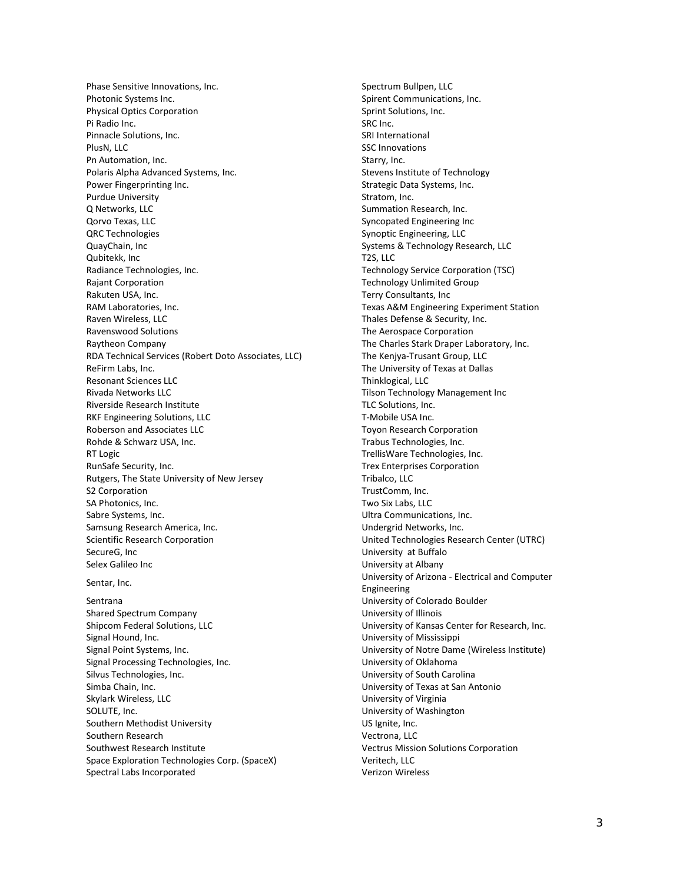Phase Sensitive Innovations, Inc. Spectrum Bullpen, LLC Photonic Systems Inc. Spirent Communications, Inc. Spirent Communications, Inc. Physical Optics Corporation Sprint Solutions, Inc. Pi Radio Inc. SRC Inc. Pinnacle Solutions, Inc. SRI International PlusN, LLC 8. The SSC Innovations of the SSC Innovations of the SSC Innovations of the SSC Innovations of the SSC Innovations of the SSC Innovations of the SSC Innovations of the SSC Innovations of the SSC Innovations of t Pn Automation, Inc. Starry, Inc. Polaris Alpha Advanced Systems, Inc. Stevens Institute of Technology and Stevens Institute of Technology Power Fingerprinting Inc. The strategic Data Systems, Inc. Purdue University **Stratom**, Inc. Q Networks, LLC **Summation Research, Inc.** Summation Research, Inc. Qorvo Texas, LLC **Syncopated Engineering Inc** QRC Technologies Synoptic Engineering, LLC QuayChain, Inc **Systems & Technology Research, LLC** Qubitekk, Inc T2S, LLC Radiance Technologies, Inc. Technology Service Corporation (TSC) Rajant Corporation **Technology Unlimited Group** Rakuten USA, Inc. Terry Consultants, Inc. RAM Laboratories, Inc. Texas A&M Engineering Experiment Station Raven Wireless, LLC Thales Defense & Security, Inc. Ravenswood Solutions The Aerospace Corporation Raytheon Company The Charles Stark Draper Laboratory, Inc. RDA Technical Services (Robert Doto Associates, LLC) The Kenjya-Trusant Group, LLC ReFirm Labs, Inc. The University of Texas at Dallas Resonant Sciences LLC Thinklogical, LLC Rivada Networks LLC **Tilson Technology Management Inc** Riverside Research Institute TLC Solutions, Inc. RKF Engineering Solutions, LLC T-Mobile USA Inc. Roberson and Associates LLC Toyon Research Corporation Rohde & Schwarz USA, Inc. The Controller of the Controller of the Trabus Technologies, Inc. RT Logic **No. 2008 CONSECTED SETS** TrellisWare Technologies, Inc. RunSafe Security, Inc. The Community of the Community of the Trex Enterprises Corporation Rutgers, The State University of New Jersey Tribalco, LLC S2 Corporation **TrustComm, Inc. Community TrustComm**, Inc. SA Photonics, Inc. Two Six Labs, LLC Sabre Systems, Inc. **Sabre Systems**, Inc. **Ultra Communications**, Inc. Samsung Research America, Inc. **Exercise 20 and Samsung Research America, Inc. Undergrid Networks, Inc.** Scientific Research Corporation United Technologies Research Center (UTRC) SecureG, Inc **SecureG**, Inc **No. 2018 CONVERTS University at Buffalo** Selex Galileo Inc **Selex Galileo** Inc

Shared Spectrum Company **Example 20** Shared Spectrum Company Shipcom Federal Solutions, LLC **No. 1898** University of Kansas Center for Research, Inc. Signal Hound, Inc. University of Mississippi Signal Point Systems, Inc. University of Notre Dame (Wireless Institute) Signal Processing Technologies, Inc. University of Oklahoma Silvus Technologies, Inc. **Network** Carolina Communisty of South Carolina Simba Chain, Inc. University of Texas at San Antonio Skylark Wireless, LLC and the University of Virginia SOLUTE, Inc. **No. 1998** SOLUTE, Inc. Southern Methodist University **Example 20 and Southern Methodist University** US Ignite, Inc. Southern Research **Vectrona**, LLC Southwest Research Institute Vectrus Mission Solutions Corporation Space Exploration Technologies Corp. (SpaceX) Veritech, LLC Spectral Labs Incorporated Verizon Wireless

Sentar, Inc. University of Arizona - Electrical and Computer Engineering Sentrana University of Colorado Boulder